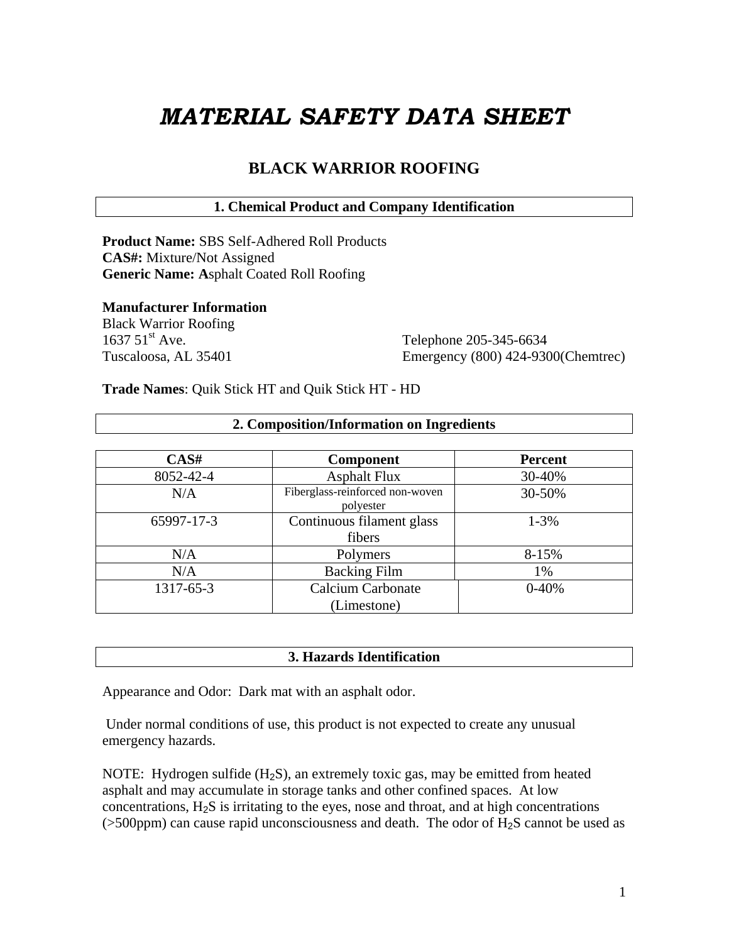# *MATERIAL SAFETY DATA SHEET*

# **BLACK WARRIOR ROOFING**

# **1. Chemical Product and Company Identification**

**Product Name:** SBS Self-Adhered Roll Products **CAS#:** Mixture/Not Assigned **Generic Name: A**sphalt Coated Roll Roofing

# **Manufacturer Information**

Black Warrior Roofing 1637 51<sup>st</sup> Ave. Telephone 205-345-6634

Tuscaloosa, AL 35401 Emergency (800) 424-9300(Chemtrec)

**Trade Names**: Quik Stick HT and Quik Stick HT - HD

| CAS#       | <b>Component</b>                             | <b>Percent</b> |
|------------|----------------------------------------------|----------------|
| 8052-42-4  | <b>Asphalt Flux</b>                          | 30-40%         |
| N/A        | Fiberglass-reinforced non-woven<br>polyester | 30-50%         |
| 65997-17-3 | Continuous filament glass                    | $1 - 3\%$      |
|            | fibers                                       |                |
| N/A        | Polymers                                     | 8-15%          |
| N/A        | <b>Backing Film</b>                          | 1%             |
| 1317-65-3  | <b>Calcium Carbonate</b>                     | $0 - 40%$      |
|            | (Limestone)                                  |                |

**2. Composition/Information on Ingredients** 

# **3. Hazards Identification**

Appearance and Odor: Dark mat with an asphalt odor.

 Under normal conditions of use, this product is not expected to create any unusual emergency hazards.

NOTE: Hydrogen sulfide  $(H<sub>2</sub>S)$ , an extremely toxic gas, may be emitted from heated asphalt and may accumulate in storage tanks and other confined spaces. At low concentrations, H2S is irritating to the eyes, nose and throat, and at high concentrations (>500ppm) can cause rapid unconsciousness and death. The odor of H2S cannot be used as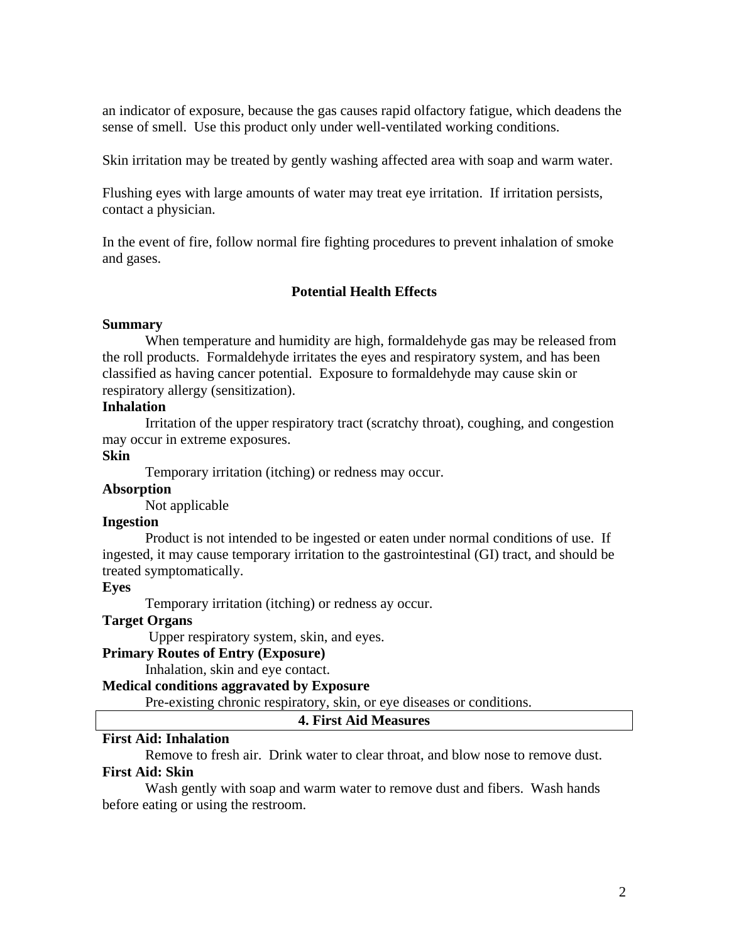an indicator of exposure, because the gas causes rapid olfactory fatigue, which deadens the sense of smell. Use this product only under well-ventilated working conditions.

Skin irritation may be treated by gently washing affected area with soap and warm water.

Flushing eyes with large amounts of water may treat eye irritation. If irritation persists, contact a physician.

In the event of fire, follow normal fire fighting procedures to prevent inhalation of smoke and gases.

# **Potential Health Effects**

# **Summary**

 When temperature and humidity are high, formaldehyde gas may be released from the roll products. Formaldehyde irritates the eyes and respiratory system, and has been classified as having cancer potential. Exposure to formaldehyde may cause skin or respiratory allergy (sensitization).

# **Inhalation**

 Irritation of the upper respiratory tract (scratchy throat), coughing, and congestion may occur in extreme exposures.

# **Skin**

Temporary irritation (itching) or redness may occur.

# **Absorption**

Not applicable

# **Ingestion**

 Product is not intended to be ingested or eaten under normal conditions of use. If ingested, it may cause temporary irritation to the gastrointestinal (GI) tract, and should be treated symptomatically.

# **Eyes**

Temporary irritation (itching) or redness ay occur.

# **Target Organs**

Upper respiratory system, skin, and eyes.

# **Primary Routes of Entry (Exposure)**

Inhalation, skin and eye contact.

# **Medical conditions aggravated by Exposure**

Pre-existing chronic respiratory, skin, or eye diseases or conditions.

#### **4. First Aid Measures**

# **First Aid: Inhalation**

Remove to fresh air. Drink water to clear throat, and blow nose to remove dust.

# **First Aid: Skin**

 Wash gently with soap and warm water to remove dust and fibers. Wash hands before eating or using the restroom.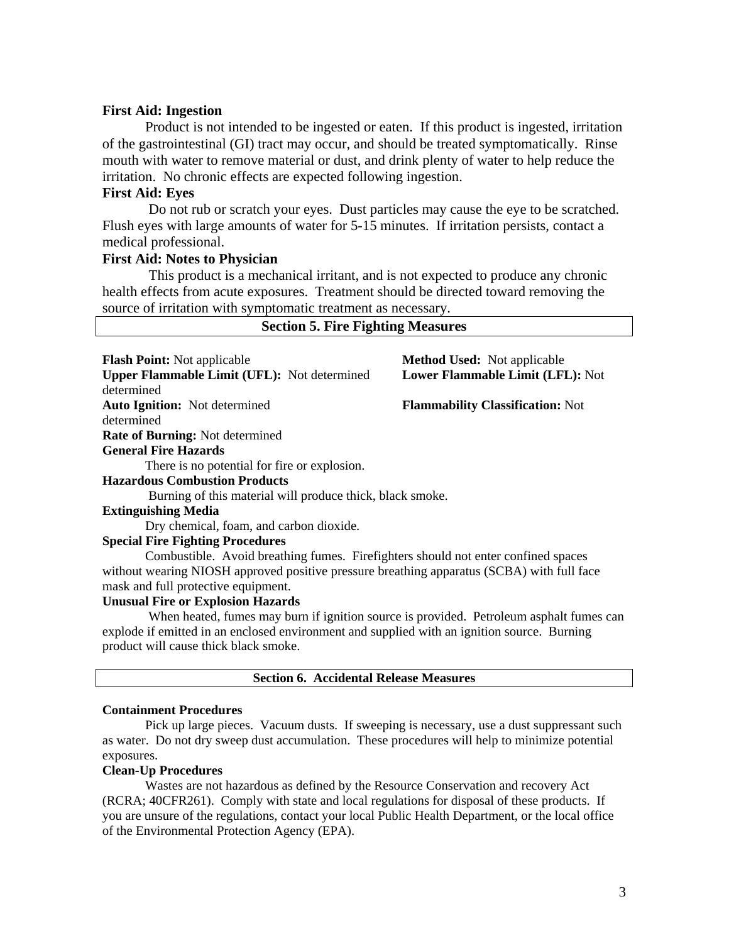## **First Aid: Ingestion**

 Product is not intended to be ingested or eaten. If this product is ingested, irritation of the gastrointestinal (GI) tract may occur, and should be treated symptomatically. Rinse mouth with water to remove material or dust, and drink plenty of water to help reduce the irritation. No chronic effects are expected following ingestion.

## **First Aid: Eyes**

 Do not rub or scratch your eyes. Dust particles may cause the eye to be scratched. Flush eyes with large amounts of water for 5-15 minutes. If irritation persists, contact a medical professional.

# **First Aid: Notes to Physician**

 This product is a mechanical irritant, and is not expected to produce any chronic health effects from acute exposures. Treatment should be directed toward removing the source of irritation with symptomatic treatment as necessary.

| <b>Flash Point:</b> Not applicable                                                | <b>Method Used:</b> Not applicable      |
|-----------------------------------------------------------------------------------|-----------------------------------------|
| <b>Upper Flammable Limit (UFL):</b> Not determined                                | Lower Flammable Limit (LFL): Not        |
| determined                                                                        |                                         |
| <b>Auto Ignition:</b> Not determined                                              | <b>Flammability Classification: Not</b> |
| determined                                                                        |                                         |
| <b>Rate of Burning:</b> Not determined                                            |                                         |
| <b>General Fire Hazards</b>                                                       |                                         |
| There is no potential for fire or explosion.                                      |                                         |
| <b>Hazardous Combustion Products</b>                                              |                                         |
| Burning of this material will produce thick, black smoke.                         |                                         |
| <b>Extinguishing Media</b>                                                        |                                         |
| Dry chemical, foam, and carbon dioxide.                                           |                                         |
| <b>Special Fire Fighting Procedures</b>                                           |                                         |
| Combustible. Avoid breathing fumes. Firefighters should not enter confined spaces |                                         |

without wearing NIOSH approved positive pressure breathing apparatus (SCBA) with full face mask and full protective equipment.

#### **Unusual Fire or Explosion Hazards**

 When heated, fumes may burn if ignition source is provided. Petroleum asphalt fumes can explode if emitted in an enclosed environment and supplied with an ignition source. Burning product will cause thick black smoke.

|  | <b>Section 6. Accidental Release Measures</b> |  |  |
|--|-----------------------------------------------|--|--|
|--|-----------------------------------------------|--|--|

#### **Containment Procedures**

 Pick up large pieces. Vacuum dusts. If sweeping is necessary, use a dust suppressant such as water. Do not dry sweep dust accumulation. These procedures will help to minimize potential exposures.

## **Clean-Up Procedures**

 Wastes are not hazardous as defined by the Resource Conservation and recovery Act (RCRA; 40CFR261). Comply with state and local regulations for disposal of these products. If you are unsure of the regulations, contact your local Public Health Department, or the local office of the Environmental Protection Agency (EPA).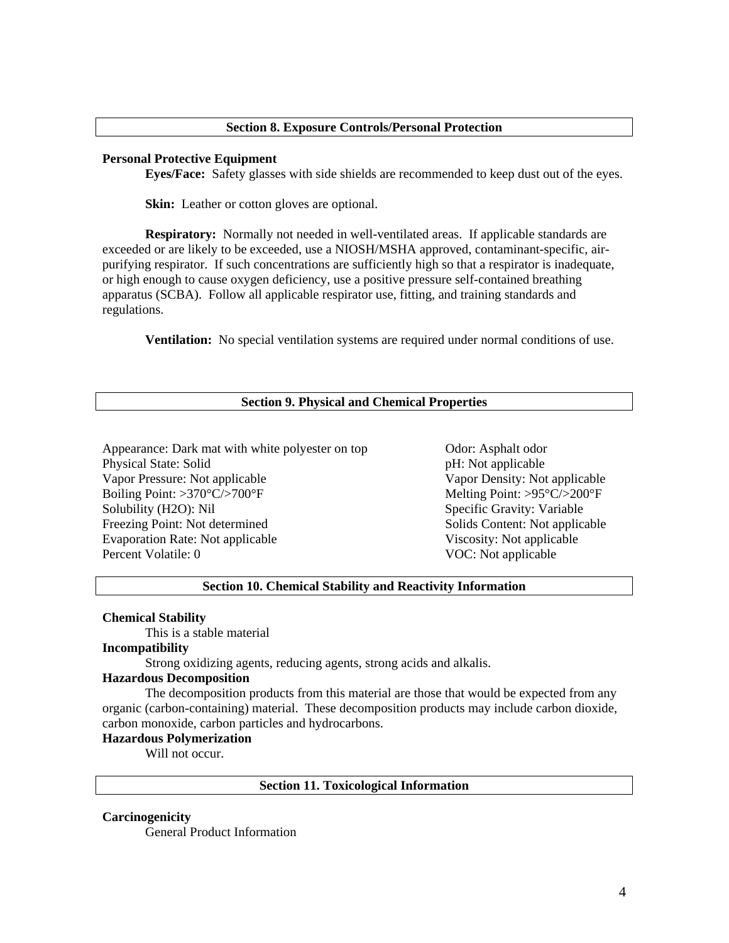#### **Section 8. Exposure Controls/Personal Protection**

#### **Personal Protective Equipment**

**Eyes/Face:** Safety glasses with side shields are recommended to keep dust out of the eyes.

**Skin:** Leather or cotton gloves are optional.

**Respiratory:** Normally not needed in well-ventilated areas. If applicable standards are exceeded or are likely to be exceeded, use a NIOSH/MSHA approved, contaminant-specific, airpurifying respirator. If such concentrations are sufficiently high so that a respirator is inadequate, or high enough to cause oxygen deficiency, use a positive pressure self-contained breathing apparatus (SCBA). Follow all applicable respirator use, fitting, and training standards and regulations.

**Ventilation:** No special ventilation systems are required under normal conditions of use.

#### **Section 9. Physical and Chemical Properties**

Appearance: Dark mat with white polyester on top Odor: Asphalt odor Physical State: Solid pH: Not applicable Vapor Pressure: Not applicable Vapor Density: Not applicable Boiling Point: >370°C/>700°F Melting Point: >95°C/>200°F Solubility (H2O): Nil Specific Gravity: Variable Freezing Point: Not determined Solids Content: Not applicable Evaporation Rate: Not applicable Viscosity: Not applicable Percent Volatile: 0 VOC: Not applicable

## **Section 10. Chemical Stability and Reactivity Information**

#### **Chemical Stability**

This is a stable material

# **Incompatibility**

Strong oxidizing agents, reducing agents, strong acids and alkalis.

#### **Hazardous Decomposition**

 The decomposition products from this material are those that would be expected from any organic (carbon-containing) material. These decomposition products may include carbon dioxide, carbon monoxide, carbon particles and hydrocarbons.

#### **Hazardous Polymerization**

Will not occur.

#### **Section 11. Toxicological Information**

#### **Carcinogenicity**

General Product Information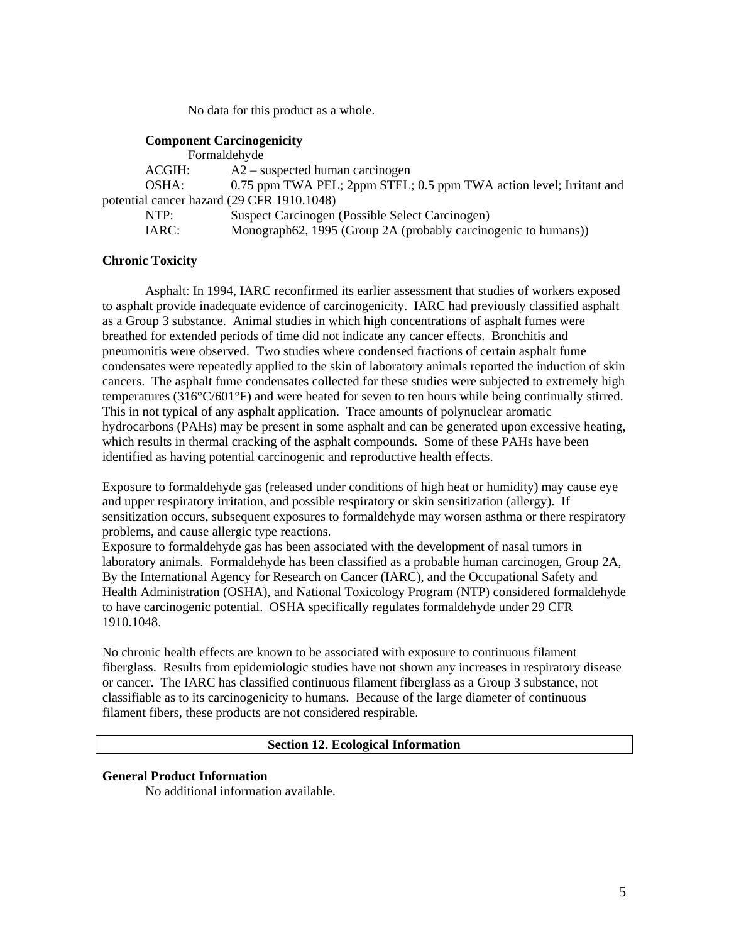No data for this product as a whole.

#### **Component Carcinogenicity**

| Formaldehyde                               |                                                                     |
|--------------------------------------------|---------------------------------------------------------------------|
| ACGIH:                                     | $A2$ – suspected human carcinogen                                   |
| OSHA:                                      | 0.75 ppm TWA PEL; 2ppm STEL; 0.5 ppm TWA action level; Irritant and |
| potential cancer hazard (29 CFR 1910.1048) |                                                                     |
| NTP:                                       | Suspect Carcinogen (Possible Select Carcinogen)                     |
| IARC:                                      | Monograph62, 1995 (Group 2A (probably carcinogenic to humans))      |

## **Chronic Toxicity**

Asphalt: In 1994, IARC reconfirmed its earlier assessment that studies of workers exposed to asphalt provide inadequate evidence of carcinogenicity. IARC had previously classified asphalt as a Group 3 substance. Animal studies in which high concentrations of asphalt fumes were breathed for extended periods of time did not indicate any cancer effects. Bronchitis and pneumonitis were observed. Two studies where condensed fractions of certain asphalt fume condensates were repeatedly applied to the skin of laboratory animals reported the induction of skin cancers. The asphalt fume condensates collected for these studies were subjected to extremely high temperatures (316°C/601°F) and were heated for seven to ten hours while being continually stirred. This in not typical of any asphalt application. Trace amounts of polynuclear aromatic hydrocarbons (PAHs) may be present in some asphalt and can be generated upon excessive heating, which results in thermal cracking of the asphalt compounds. Some of these PAHs have been identified as having potential carcinogenic and reproductive health effects.

Exposure to formaldehyde gas (released under conditions of high heat or humidity) may cause eye and upper respiratory irritation, and possible respiratory or skin sensitization (allergy). If sensitization occurs, subsequent exposures to formaldehyde may worsen asthma or there respiratory problems, and cause allergic type reactions.

Exposure to formaldehyde gas has been associated with the development of nasal tumors in laboratory animals. Formaldehyde has been classified as a probable human carcinogen, Group 2A, By the International Agency for Research on Cancer (IARC), and the Occupational Safety and Health Administration (OSHA), and National Toxicology Program (NTP) considered formaldehyde to have carcinogenic potential. OSHA specifically regulates formaldehyde under 29 CFR 1910.1048.

No chronic health effects are known to be associated with exposure to continuous filament fiberglass. Results from epidemiologic studies have not shown any increases in respiratory disease or cancer. The IARC has classified continuous filament fiberglass as a Group 3 substance, not classifiable as to its carcinogenicity to humans. Because of the large diameter of continuous filament fibers, these products are not considered respirable.

#### **Section 12. Ecological Information**

#### **General Product Information**

No additional information available.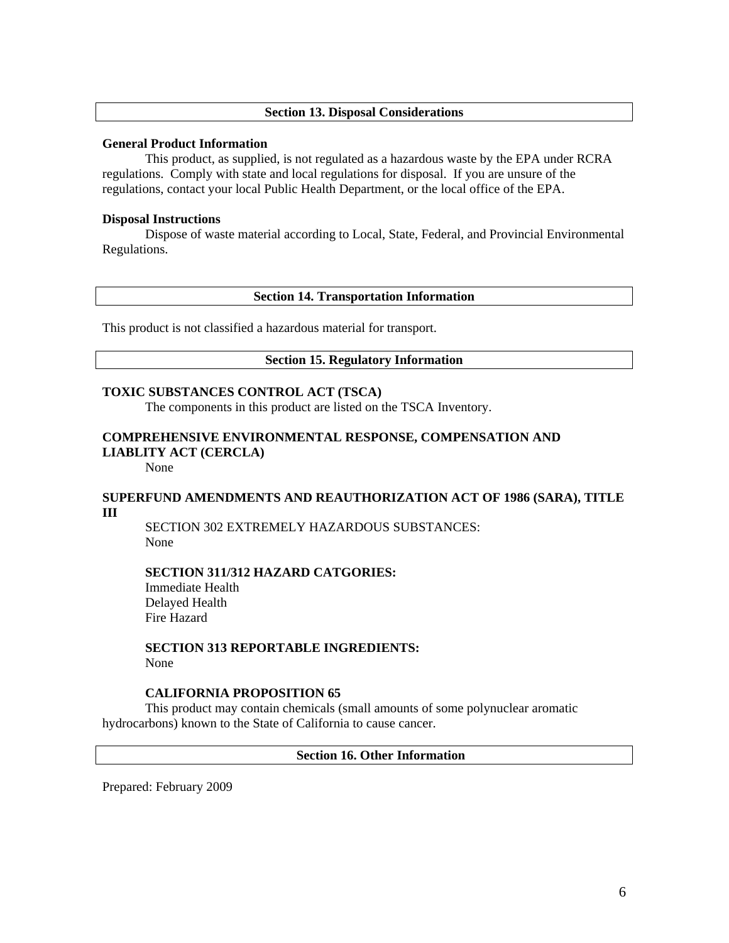## **Section 13. Disposal Considerations**

#### **General Product Information**

 This product, as supplied, is not regulated as a hazardous waste by the EPA under RCRA regulations. Comply with state and local regulations for disposal. If you are unsure of the regulations, contact your local Public Health Department, or the local office of the EPA.

#### **Disposal Instructions**

 Dispose of waste material according to Local, State, Federal, and Provincial Environmental Regulations.

#### **Section 14. Transportation Information**

This product is not classified a hazardous material for transport.

## **Section 15. Regulatory Information**

## **TOXIC SUBSTANCES CONTROL ACT (TSCA)**

The components in this product are listed on the TSCA Inventory.

# **COMPREHENSIVE ENVIRONMENTAL RESPONSE, COMPENSATION AND LIABLITY ACT (CERCLA)**

None

# **SUPERFUND AMENDMENTS AND REAUTHORIZATION ACT OF 1986 (SARA), TITLE III**

 SECTION 302 EXTREMELY HAZARDOUS SUBSTANCES: None

#### **SECTION 311/312 HAZARD CATGORIES:**

 Immediate Health Delayed Health Fire Hazard

#### **SECTION 313 REPORTABLE INGREDIENTS:**  None

#### **CALIFORNIA PROPOSITION 65**

 This product may contain chemicals (small amounts of some polynuclear aromatic hydrocarbons) known to the State of California to cause cancer.

## **Section 16. Other Information**

Prepared: February 2009